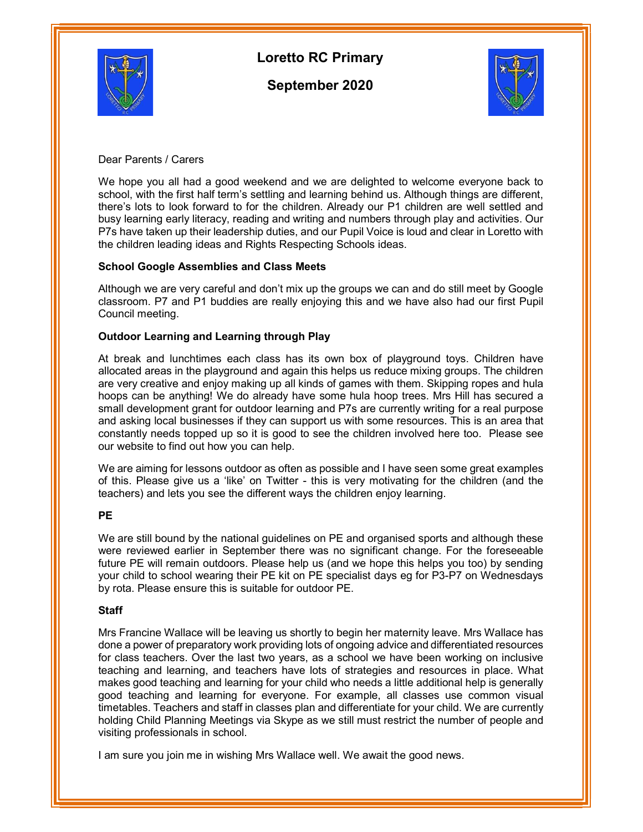

# Loretto RC Primary

September 2020



Dear Parents / Carers

We hope you all had a good weekend and we are delighted to welcome everyone back to school, with the first half term's settling and learning behind us. Although things are different, there's lots to look forward to for the children. Already our P1 children are well settled and busy learning early literacy, reading and writing and numbers through play and activities. Our P7s have taken up their leadership duties, and our Pupil Voice is loud and clear in Loretto with the children leading ideas and Rights Respecting Schools ideas.

# School Google Assemblies and Class Meets

Although we are very careful and don't mix up the groups we can and do still meet by Google classroom. P7 and P1 buddies are really enjoying this and we have also had our first Pupil Council meeting.

# Outdoor Learning and Learning through Play

At break and lunchtimes each class has its own box of playground toys. Children have allocated areas in the playground and again this helps us reduce mixing groups. The children are very creative and enjoy making up all kinds of games with them. Skipping ropes and hula hoops can be anything! We do already have some hula hoop trees. Mrs Hill has secured a small development grant for outdoor learning and P7s are currently writing for a real purpose and asking local businesses if they can support us with some resources. This is an area that constantly needs topped up so it is good to see the children involved here too. Please see our website to find out how you can help.

We are aiming for lessons outdoor as often as possible and I have seen some great examples of this. Please give us a 'like' on Twitter - this is very motivating for the children (and the teachers) and lets you see the different ways the children enjoy learning.

# PE

We are still bound by the national guidelines on PE and organised sports and although these were reviewed earlier in September there was no significant change. For the foreseeable future PE will remain outdoors. Please help us (and we hope this helps you too) by sending your child to school wearing their PE kit on PE specialist days eg for P3-P7 on Wednesdays by rota. Please ensure this is suitable for outdoor PE.

# **Staff**

Mrs Francine Wallace will be leaving us shortly to begin her maternity leave. Mrs Wallace has done a power of preparatory work providing lots of ongoing advice and differentiated resources for class teachers. Over the last two years, as a school we have been working on inclusive teaching and learning, and teachers have lots of strategies and resources in place. What makes good teaching and learning for your child who needs a little additional help is generally good teaching and learning for everyone. For example, all classes use common visual timetables. Teachers and staff in classes plan and differentiate for your child. We are currently holding Child Planning Meetings via Skype as we still must restrict the number of people and visiting professionals in school.

I am sure you join me in wishing Mrs Wallace well. We await the good news.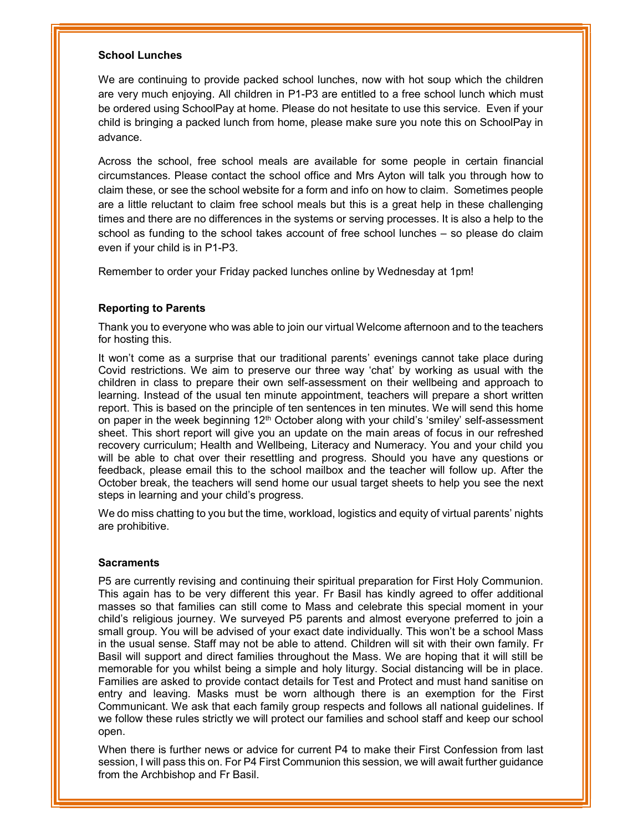### School Lunches

We are continuing to provide packed school lunches, now with hot soup which the children are very much enjoying. All children in P1-P3 are entitled to a free school lunch which must be ordered using SchoolPay at home. Please do not hesitate to use this service. Even if your child is bringing a packed lunch from home, please make sure you note this on SchoolPay in advance.

Across the school, free school meals are available for some people in certain financial circumstances. Please contact the school office and Mrs Ayton will talk you through how to claim these, or see the school website for a form and info on how to claim. Sometimes people are a little reluctant to claim free school meals but this is a great help in these challenging times and there are no differences in the systems or serving processes. It is also a help to the school as funding to the school takes account of free school lunches – so please do claim even if your child is in P1-P3.

Remember to order your Friday packed lunches online by Wednesday at 1pm!

# Reporting to Parents

Thank you to everyone who was able to join our virtual Welcome afternoon and to the teachers for hosting this.

It won't come as a surprise that our traditional parents' evenings cannot take place during Covid restrictions. We aim to preserve our three way 'chat' by working as usual with the children in class to prepare their own self-assessment on their wellbeing and approach to learning. Instead of the usual ten minute appointment, teachers will prepare a short written report. This is based on the principle of ten sentences in ten minutes. We will send this home on paper in the week beginning 12<sup>th</sup> October along with your child's 'smiley' self-assessment sheet. This short report will give you an update on the main areas of focus in our refreshed recovery curriculum; Health and Wellbeing, Literacy and Numeracy. You and your child you will be able to chat over their resettling and progress. Should you have any questions or feedback, please email this to the school mailbox and the teacher will follow up. After the October break, the teachers will send home our usual target sheets to help you see the next steps in learning and your child's progress.

We do miss chatting to you but the time, workload, logistics and equity of virtual parents' nights are prohibitive.

### **Sacraments**

P5 are currently revising and continuing their spiritual preparation for First Holy Communion. This again has to be very different this year. Fr Basil has kindly agreed to offer additional masses so that families can still come to Mass and celebrate this special moment in your child's religious journey. We surveyed P5 parents and almost everyone preferred to join a small group. You will be advised of your exact date individually. This won't be a school Mass in the usual sense. Staff may not be able to attend. Children will sit with their own family. Fr Basil will support and direct families throughout the Mass. We are hoping that it will still be memorable for you whilst being a simple and holy liturgy. Social distancing will be in place. Families are asked to provide contact details for Test and Protect and must hand sanitise on entry and leaving. Masks must be worn although there is an exemption for the First Communicant. We ask that each family group respects and follows all national guidelines. If we follow these rules strictly we will protect our families and school staff and keep our school open.

When there is further news or advice for current P4 to make their First Confession from last session, I will pass this on. For P4 First Communion this session, we will await further guidance from the Archbishop and Fr Basil.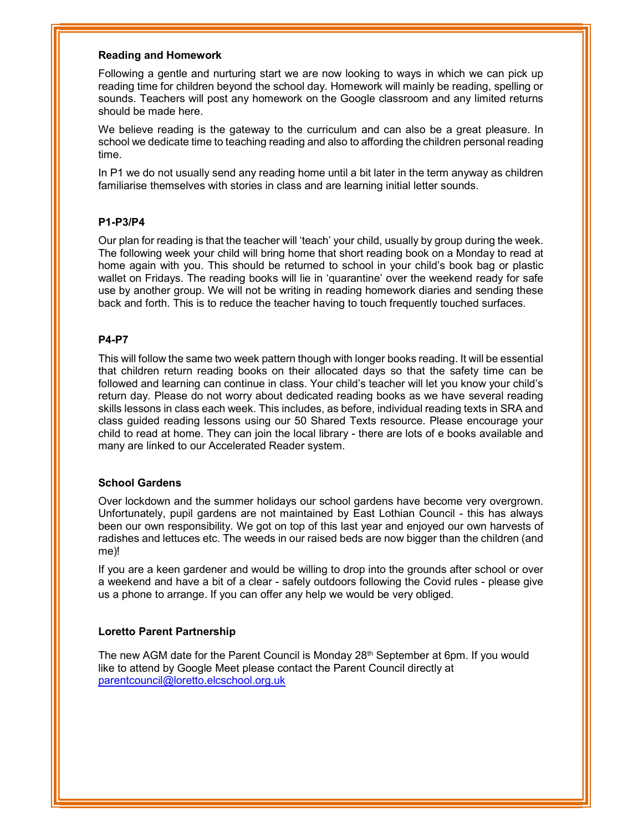### Reading and Homework

Following a gentle and nurturing start we are now looking to ways in which we can pick up reading time for children beyond the school day. Homework will mainly be reading, spelling or sounds. Teachers will post any homework on the Google classroom and any limited returns should be made here.

We believe reading is the gateway to the curriculum and can also be a great pleasure. In school we dedicate time to teaching reading and also to affording the children personal reading time.

In P1 we do not usually send any reading home until a bit later in the term anyway as children familiarise themselves with stories in class and are learning initial letter sounds.

# P1-P3/P4

Our plan for reading is that the teacher will 'teach' your child, usually by group during the week. The following week your child will bring home that short reading book on a Monday to read at home again with you. This should be returned to school in your child's book bag or plastic wallet on Fridays. The reading books will lie in 'quarantine' over the weekend ready for safe use by another group. We will not be writing in reading homework diaries and sending these back and forth. This is to reduce the teacher having to touch frequently touched surfaces.

# P4-P7

This will follow the same two week pattern though with longer books reading. It will be essential that children return reading books on their allocated days so that the safety time can be followed and learning can continue in class. Your child's teacher will let you know your child's return day. Please do not worry about dedicated reading books as we have several reading skills lessons in class each week. This includes, as before, individual reading texts in SRA and class guided reading lessons using our 50 Shared Texts resource. Please encourage your child to read at home. They can join the local library - there are lots of e books available and many are linked to our Accelerated Reader system.

### School Gardens

Over lockdown and the summer holidays our school gardens have become very overgrown. Unfortunately, pupil gardens are not maintained by East Lothian Council - this has always been our own responsibility. We got on top of this last year and enjoyed our own harvests of radishes and lettuces etc. The weeds in our raised beds are now bigger than the children (and me)!

If you are a keen gardener and would be willing to drop into the grounds after school or over a weekend and have a bit of a clear - safely outdoors following the Covid rules - please give us a phone to arrange. If you can offer any help we would be very obliged.

### Loretto Parent Partnership

The new AGM date for the Parent Council is Monday  $28<sup>th</sup>$  September at 6pm. If you would like to attend by Google Meet please contact the Parent Council directly at parentcouncil@loretto.elcschool.org.uk